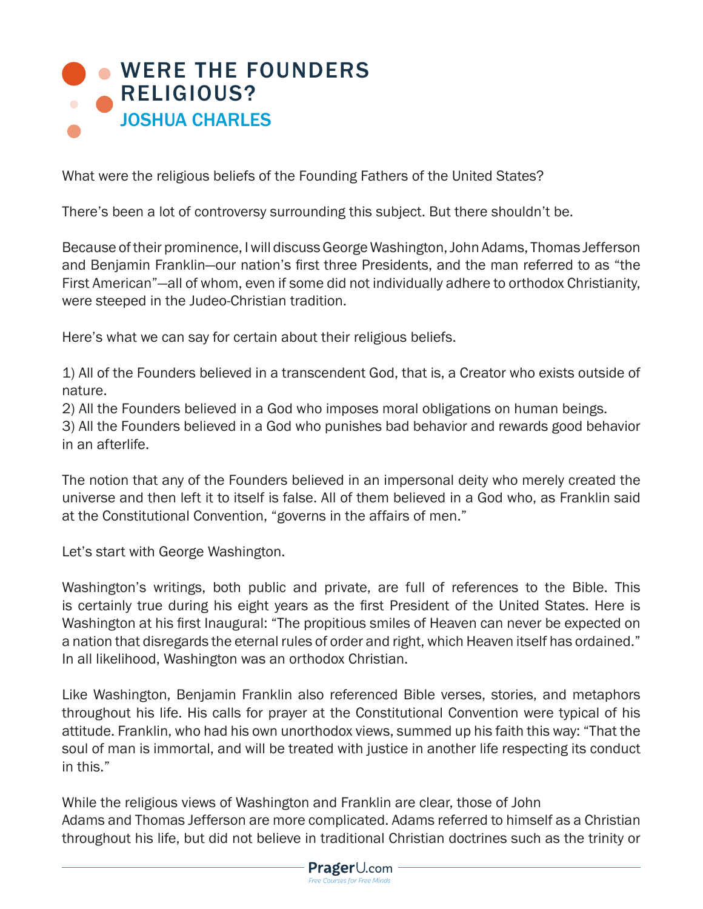## **[WERE THE FOUNDERS](https://www.prageru.com/courses/history/were-founders-religious)** RELIGIOUS? JOSHUA CHARLES

What were the religious beliefs of the Founding Fathers of the United States?

There's been a lot of controversy surrounding this subject. But there shouldn't be.

Because of their prominence, I will discuss George Washington, John Adams, Thomas Jefferson and Benjamin Franklin—our nation's first three Presidents, and the man referred to as "the First American"—all of whom, even if some did not individually adhere to orthodox Christianity, were steeped in the Judeo-Christian tradition.

Here's what we can say for certain about their religious beliefs.

1) All of the Founders believed in a transcendent God, that is, a Creator who exists outside of nature.

2) All the Founders believed in a God who imposes moral obligations on human beings.

3) All the Founders believed in a God who punishes bad behavior and rewards good behavior in an afterlife.

The notion that any of the Founders believed in an impersonal deity who merely created the universe and then left it to itself is false. All of them believed in a God who, as Franklin said at the Constitutional Convention, "governs in the affairs of men."

Let's start with George Washington.

Washington's writings, both public and private, are full of references to the Bible. This is certainly true during his eight years as the first President of the United States. Here is Washington at his first Inaugural: "The propitious smiles of Heaven can never be expected on a nation that disregards the eternal rules of order and right, which Heaven itself has ordained." In all likelihood, Washington was an orthodox Christian.

Like Washington, Benjamin Franklin also referenced Bible verses, stories, and metaphors throughout his life. His calls for prayer at the Constitutional Convention were typical of his attitude. Franklin, who had his own unorthodox views, summed up his faith this way: "That the soul of man is immortal, and will be treated with justice in another life respecting its conduct in this."

While the religious views of Washington and Franklin are clear, those of John Adams and Thomas Jefferson are more complicated. Adams referred to himself as a Christian throughout his life, but did not believe in traditional Christian doctrines such as the trinity or